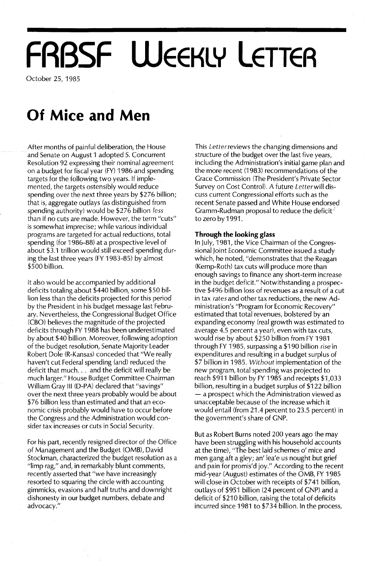# **FRBSF WEEKLY LETTER**

October 25,1985

### **Of Mice and Men**

After months of painful deliberation, the House and Senate on August 1 adopted S. Concurrent Resolution 92 expressing their nominal agreement on a budget for fiscal year (FY) 1986 and spending targets for the following two years. If implemented, the targets ostensibly would reduce spending over the next three years by \$276 billion; that is, aggregate outlays (as distinguished from spending authority) would be \$276 billion *less* than if no cuts are made. However, the term "cuts" is somewhat imprecise; while various individual programs are targeted for actual reductions, total spending (for 1986-88) at a prospective level of about \$3.1 trillion would still exceed spending during the last three years (FY 1983-85) by almost \$500 billion.

It also would be accompanied by additional deficits totaling about \$440 billion, some \$50 billion less than the deficits projected for this period by the President in his budget message last February. Nevertheless, the Congressional Budget Office (CBO) believes the magnitude of the projected deficits through FY 1988 has been underestimated by about \$40 billion. Moreover, following adoption of the budget resolution, Senate Majority Leader Robert Dole (R-Kansas) conceded that "We really haven't cut Federal spending (and) reduced the deficit that much... and the deficit will really be much larger." House Budget Committee Chairman William Gray III (D-PA) declared that "savings" over the next three years probably would be about \$76 billion less than estimated and that an economic crisis probably would have to occur before the Congress and the Administration would consider tax increases or cuts in Social Security.

For his part, recently resigned director of the Office of Management and the Budget (OMB), David Stockman, characterized the budget resolution as a "limp rag," and, in remarkably blunt comments, recently asserted that "we have increasingly resorted to squaring the circle with accounting gimmicks, evasions and half truths and downright dishonesty in our budget numbers, debate and advocacy."

This *Letterreviews* the changing dimensions and structure of the budget over the last five years, including the Administration's initial game plan and the more recent (1983) recommendations of the Grace Commission (The President's Private Sector Survey on Cost Control). A future *Letterwill* discuss current Congressional efforts such as the recent Senate passed and White House endorsed Gramm-Rudman proposal to reduce the deficit<sup>-2</sup> to zero by 1991.

#### **Through the looking glass**

In July, 1981, the Vice Chairman of the Congressional Joint Economic Committee issued a study which, he noted, "demonstrates that the Reagan (Kemp-Roth) tax cuts will produce more than enough savings to finance any short-term increase in the budget deficit." Notwithstanding a prospective \$496 billion loss of revenues as a result of a cut in tax *rates* and other tax reductions, the new Administration's "Program for Economic Recovery" estimated that total revenues, bolstered by an expanding economy (real growth was estimated to average 4.5 percent a year), even with tax cuts, would rise by about \$250 billion from FY 1981 through FY 1985, surpassing a \$190 billion rise in expenditures and resulting in a budget surplus of \$7 billion in 1985. *Without* implementation of the new program, total spending was projected to reach \$911 billion by FY 1985 and receipts \$1,033 billion, resulting in a budget surplus of \$122 billion - a prospect which the Administration viewed as unacceptable because of the increase which it would entail (from 21.4 percent to 23.5 percent) in the government's share of GNP.

But as Robert Burns noted 200 years ago (he may have been struggling with his household accounts at the time), "The best laid schemes 0' mice and men gang aft a gley; an' lea'e us nought but grief and pain for promis'd joy." According to the recent mid-year (August) estimates of the OMB, FY 1985 will close in October with receipts of \$741 billion, outlays of \$951 billion (24 percent of GNP) and a deficit of \$210 billion, raising the total of deficits incurred since 1981 to \$734 billion. In the process,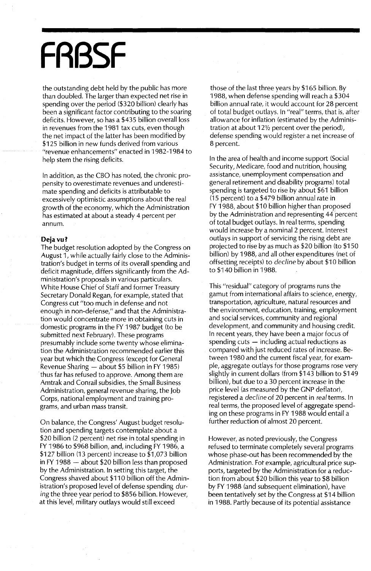## **FRBSF**

the outstanding debt held by the public has more than doubled. The larger than expected net rise in spending over the period (\$320 billion) clearly has been a significant factor contributing to the soaring deficits. However, so has a \$435 billion overall loss in revenues from the 1981 tax cuts, even though the net impact of the latter has been modified by \$125 billion in new funds derived from various "revenue enhancements" enacted in 1982-1984 to help stem the rising deficits.

In addition, as the CBO has noted, the chronic propensity to overestimate revenues and underestimate spending and deficits is attributable to excessively optimistic assumptions about the real growth of the economy, which the Administration has estimated at about a steady 4 percent per annum.

#### **Dejavu?**

The budget resolution adopted by the Congress on August 1, while actually fairly close to the Administration's budget in terms of its overall spending and deficit magnitude, differs significantly from the Administration's proposals in various particulars. White House Chief of Staff and former Treasury Secretary Donald Regan, for example, stated that Congress cut "too much in defense and not enough in non-defense," and that the Administration would concentrate more in obtaining cuts in domestic programs in the FY 1987 budget (to be submitted next February). These programs presumably include some twenty whose elimination the Administration recommended earlier this year but which the Congress (except for General Revenue Sharing  $-$  about \$5 billion in FY 1985) thus far has refused to approve. Among them are Amtrak and Conrail subsidies, the Small Business Administration, general revenue sharing, the Job Corps, national employment and training programs, and urban mass transit.

On balance, the Congress' August budget resolution and spending targets contemplate about a \$20 billion (2 percent) net rise in total spending in FY 1986 to \$968 billion, and, including FY 1986, a \$127 billion (13 percent) increase to \$1,073 billion in FY 1988  $-$  about \$20 billion less than proposed by the Administration. In setting this target, the Congress shaved about \$110 billion off the Administration's proposed level of defense spending *during* the three year period to \$856 billion. However, at this level, military outlays would still exceed

those of the last three years by \$165 billion. By 1988, when defense spending will reach a \$304 billion annual rate, it would account for 28 percent of total budget outlays. In "real" terms, that is, after allowance for inflation (estimated by the Administration at about  $12\frac{1}{2}$  percent over the period), defense spending would register a net increase of 8 percent.

In the area of health and income support (Social Security, Medicare, food and nutrition, housing assistance, unemployment compensation and general retirement and disability programs) total spending is targeted to rise by about \$61 billion (15 percent) to a \$479 billion annual rate in FY 1988, about \$10 billion higher than proposed by the Administration and representing 44 percent of total budget outlays. In real terms, spending would increase by a nominal 2 percent. Interest outlays in support of servicing the rising debt are projected to rise by as much as \$20 billion (to \$150 billion) by 1988, and all other expenditures (net of offsetting receipts) to *decline* by about \$10 billion to \$140 billion in 1988.

This "residual" category of programs runs the gamut from international affairs to science, energy, transportation, agriculture, natural resources and the environment, education, training, employment and social services, community and regional development, and community and housing credit. In recent years, they have been a major focus of spending cuts  $-$  including actual reductions as compared with just reduced rates of increase. Between 1980 and the current fiscal year, for example, aggregate outlays for those programs rose very slightly in current dollars (from \$143 billion to \$149 billion), but due to a 30 percent increase in the price level (as measured by the GNP deflator), registered a *decline* of 20 percent in *real* terms. In real terms, the proposed level of aggregate spending on these programs in FY 1988 would entail a further reduction of almost 20 percent.

However, as noted previously, the Congress refused to terminate completely several programs whose phase-out has been recommended by the Administration. Fot example, agricultural price supports, targeted by the Administration for a reduction from about \$20 billion this year to \$8 billion by FY 1988 (and subsequent elimination), have been tentatively set by the Congress at \$14 billion in 1988. Partly because of its potential assistance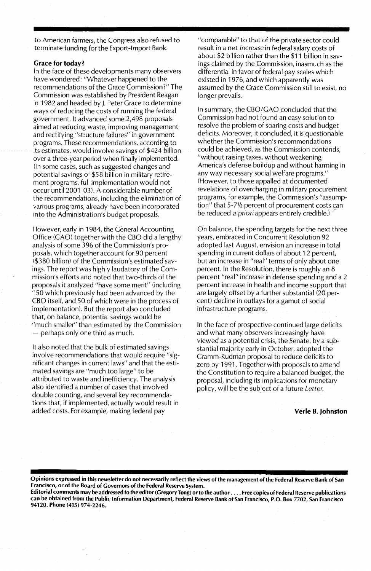to American farmers, the Congress also refused to terminate funding for the Export-Import Bank.

#### Grace for today?

In the face of these developments many observers have wondered: "Whatever happened to the recommendations of the Grace Commission?" The Commission was established by President Reagan in 1982 and headed by J. Peter Grace to determine ways of reducing the costs of running the federal government. It advanced some 2,498 proposals aimed at reducing waste, improving management and rectifying "structure failures" in government programs. These recommendations, according to its estimates, would involve savings of \$424 billion over a three-year period when finally implemented. (In some cases, such as suggested changes and potential savings of \$58 billion in military retirement programs, full implementation would not occur until 2001-03). A considerable number of the recommendations, including the elimination of various programs, already have been incorporated into the Administration's budget proposals.

However, early in 1984, the General Accounting Office (GAO) together with the CBO did a lengthy analysis of some 396 of the Commission's proposals, which together account for 90 percent  $($380 billion)$  of the Commission's estimated savings. The report was highly laudatory of the Commission's efforts and noted that two-thirds of the proposals it analyzed "have some merit" (including 150 which previously had been advanced by the CBO itself, and 50 of which were in the process of implementation). But the report also concluded that, on balance, potential savings would be "much smaller" than estimated by the Commission  $-$  perhaps only one third as much.

It also noted that the bulk of estimated savings involve recommendations that would require "significant changes in current laws" and that the estimated savings are "much too large" to be attributed to waste and inefficiency. The analysis also identified a number of cases that involved double counting, and several key recommendations that, if implemented, actually would result in added costs. For example, making federal pay

"comparable" to that of the private sector could result in a net increase in federal salary costs of about \$2 billion rather than the \$11 billion in savings claimed by the Commission, inasmuch as the differential in favor of federal pay scales which existed in 1976, and which apparently was assumed by the Grace Commission still to exist, no longer prevails.

In summary, the CBO/GAO concluded that the Commission had not found an easy solution to resolve the problem of soaring costs and budget deficits. Moreover, it concluded, it is questionable whether the Commission's recommendations could be achieved, as the Commission contends, "without raising taxes, without weakening America's defense buildup and without harming in any way necessary social welfare programs." (However, to those appalled at documented revelations of overcharging in military procurement programs, for example, the Commission's "assumption" that 5-71/2 percent of procurement costs can be reduced *a priori* appears entirely credible.) .

On balance, the spending targets for the next three years, embraced in Concurrent Resolution 92 adopted last August, envision an increase in total spending in current dollars of about 12 percent, but an increase in "real" terms of only about one percent. In the Resolution, there is roughly an 8 percent "real" increase in defense spending and a 2 percent increase in health and income support that are largely offset by a further substantial (20 percent) decline in outlays for a gamut of social infrastructure programs.

In the face of prospective continued large deficits and what many observers increasingly have viewed as a potential crisis, the Senate, by a substantial majority early in October, adopted the Gramm-Rudman proposal to reduce deficits to zero by 1991. Together with proposals to amend the Constitution to require a balanced budget, the proposal, including its implications for monetary policy, will be the subject of a future Letter.

Verle B. Johnston

Opinions expressed in this newsletter do not necessarily reflect the views of the management of the Federal Reserve Bank of San Francisco, or of the Board of Governors of the Federal Reserve System.

Editorial comments may be addressed to the editor (Gregory Tong) orto the author .... Free copies of Federal Reserve publications can be obtained from the Public Information Department, Federal Reserve Bank of San Francisco, P.O. Box 7702, San Francisco 94120. Phone (415) 974-2246.